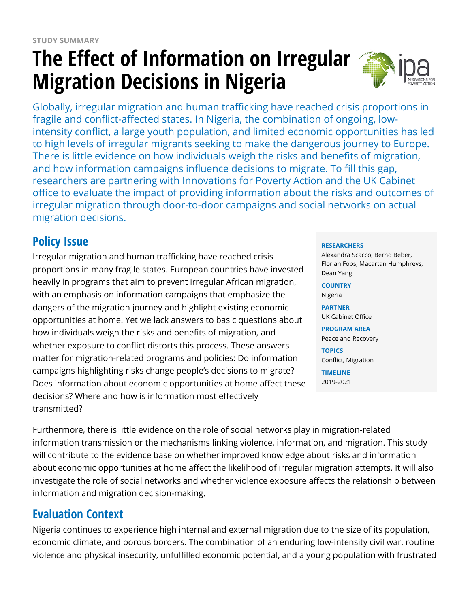# **The Effect of Information on Irregular Migration Decisions in Nigeria**



Globally, irregular migration and human trafficking have reached crisis proportions in fragile and conflict-affected states. In Nigeria, the combination of ongoing, lowintensity conflict, a large youth population, and limited economic opportunities has led to high levels of irregular migrants seeking to make the dangerous journey to Europe. There is little evidence on how individuals weigh the risks and benefits of migration, and how information campaigns influence decisions to migrate. To fill this gap, researchers are partnering with Innovations for Poverty Action and the UK Cabinet office to evaluate the impact of providing information about the risks and outcomes of irregular migration through door-to-door campaigns and social networks on actual migration decisions.

# **Policy Issue**

Irregular migration and human trafficking have reached crisis proportions in many fragile states. European countries have invested heavily in programs that aim to prevent irregular African migration, with an emphasis on information campaigns that emphasize the dangers of the migration journey and highlight existing economic opportunities at home. Yet we lack answers to basic questions about how individuals weigh the risks and benefits of migration, and whether exposure to conflict distorts this process. These answers matter for migration-related programs and policies: Do information campaigns highlighting risks change people's decisions to migrate? Does information about economic opportunities at home affect these decisions? Where and how is information most effectively transmitted?

#### **RESEARCHERS**

Alexandra Scacco, Bernd Beber, Florian Foos, Macartan Humphreys, Dean Yang

#### **COUNTRY**

Nigeria

**PARTNER** UK Cabinet Office

**PROGRAM AREA** Peace and Recovery

**TOPICS** Conflict, Migration

**TIMELINE** 2019-2021

Furthermore, there is little evidence on the role of social networks play in migration-related information transmission or the mechanisms linking violence, information, and migration. This study will contribute to the evidence base on whether improved knowledge about risks and information about economic opportunities at home affect the likelihood of irregular migration attempts. It will also investigate the role of social networks and whether violence exposure affects the relationship between information and migration decision-making.

## **Evaluation Context**

Nigeria continues to experience high internal and external migration due to the size of its population, economic climate, and porous borders. The combination of an enduring low-intensity civil war, routine violence and physical insecurity, unfulfilled economic potential, and a young population with frustrated